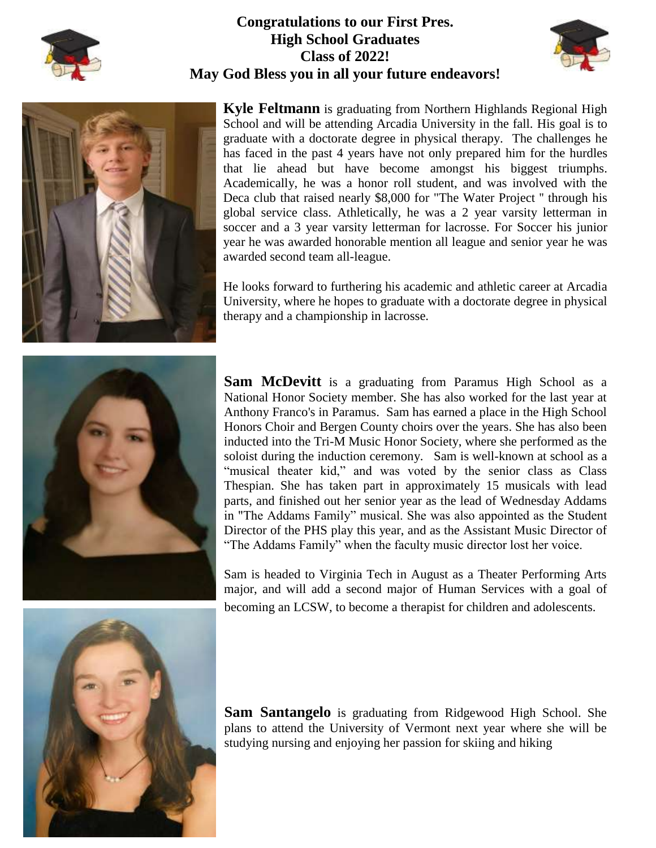

## **Congratulations to our First Pres. High School Graduates Class of 2022! May God Bless you in all your future endeavors!**



**Kyle Feltmann** is graduating from Northern Highlands Regional High School and will be attending Arcadia University in the fall. His goal is to graduate with a doctorate degree in physical therapy. The challenges he has faced in the past 4 years have not only prepared him for the hurdles that lie ahead but have become amongst his biggest triumphs. Academically, he was a honor roll student, and was involved with the Deca club that raised nearly \$8,000 for "The Water Project '' through his global service class. Athletically, he was a 2 year varsity letterman in soccer and a 3 year varsity letterman for lacrosse. For Soccer his junior year he was awarded honorable mention all league and senior year he was awarded second team all-league.

He looks forward to furthering his academic and athletic career at Arcadia University, where he hopes to graduate with a doctorate degree in physical therapy and a championship in lacrosse.



**Sam McDevitt** is a graduating from Paramus High School as a National Honor Society member. She has also worked for the last year at Anthony Franco's in Paramus. Sam has earned a place in the High School Honors Choir and Bergen County choirs over the years. She has also been inducted into the Tri-M Music Honor Society, where she performed as the soloist during the induction ceremony. Sam is well-known at school as a "musical theater kid," and was voted by the senior class as Class Thespian. She has taken part in approximately 15 musicals with lead parts, and finished out her senior year as the lead of Wednesday Addams in "The Addams Family" musical. She was also appointed as the Student Director of the PHS play this year, and as the Assistant Music Director of "The Addams Family" when the faculty music director lost her voice.

Sam is headed to Virginia Tech in August as a Theater Performing Arts major, and will add a second major of Human Services with a goal of becoming an LCSW, to become a therapist for children and adolescents.



**Sam Santangelo** is graduating from Ridgewood High School. She plans to attend the University of Vermont next year where she will be studying nursing and enjoying her passion for skiing and hiking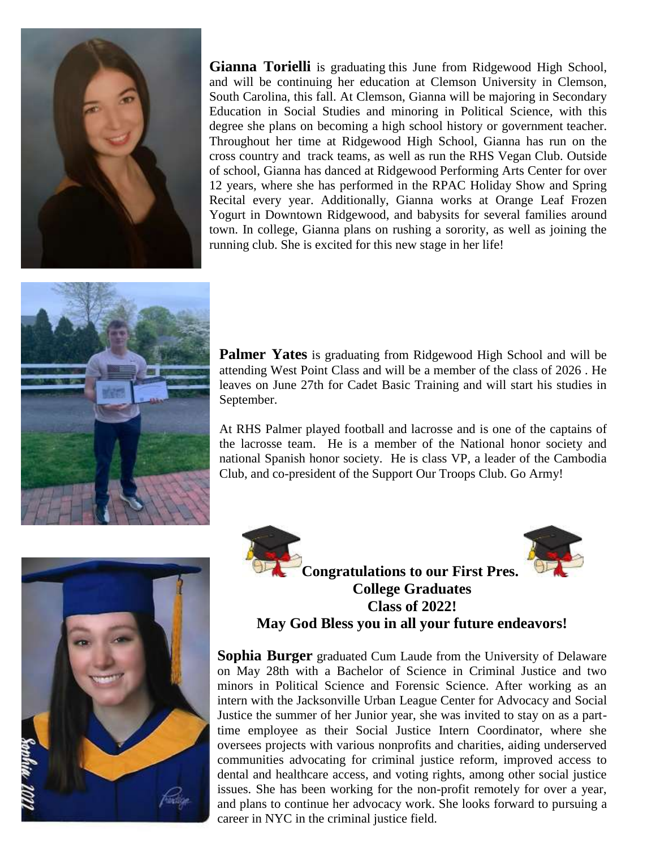

**Gianna Torielli** is graduating this June from Ridgewood High School, and will be continuing her education at Clemson University in Clemson, South Carolina, this fall. At Clemson, Gianna will be majoring in Secondary Education in Social Studies and minoring in Political Science, with this degree she plans on becoming a high school history or government teacher. Throughout her time at Ridgewood High School, Gianna has run on the cross country and track teams, as well as run the RHS Vegan Club. Outside of school, Gianna has danced at Ridgewood Performing Arts Center for over 12 years, where she has performed in the RPAC Holiday Show and Spring Recital every year. Additionally, Gianna works at Orange Leaf Frozen Yogurt in Downtown Ridgewood, and babysits for several families around town. In college, Gianna plans on rushing a sorority, as well as joining the running club. She is excited for this new stage in her life!



**Palmer Yates** is graduating from Ridgewood High School and will be attending West Point Class and will be a member of the class of 2026 . He leaves on June 27th for Cadet Basic Training and will start his studies in September.

At RHS Palmer played football and lacrosse and is one of the captains of the lacrosse team. He is a member of the National honor society and national Spanish honor society. He is class VP, a leader of the Cambodia Club, and co-president of the Support Our Troops Club. Go Army!







**Congratulations to our First Pres. College Graduates Class of 2022! May God Bless you in all your future endeavors!**

**Sophia Burger** graduated Cum Laude from the University of Delaware on May 28th with a Bachelor of Science in Criminal Justice and two minors in Political Science and Forensic Science. After working as an intern with the Jacksonville Urban League Center for Advocacy and Social Justice the summer of her Junior year, she was invited to stay on as a parttime employee as their Social Justice Intern Coordinator, where she oversees projects with various nonprofits and charities, aiding underserved communities advocating for criminal justice reform, improved access to dental and healthcare access, and voting rights, among other social justice issues. She has been working for the non-profit remotely for over a year, and plans to continue her advocacy work. She looks forward to pursuing a career in NYC in the criminal justice field.